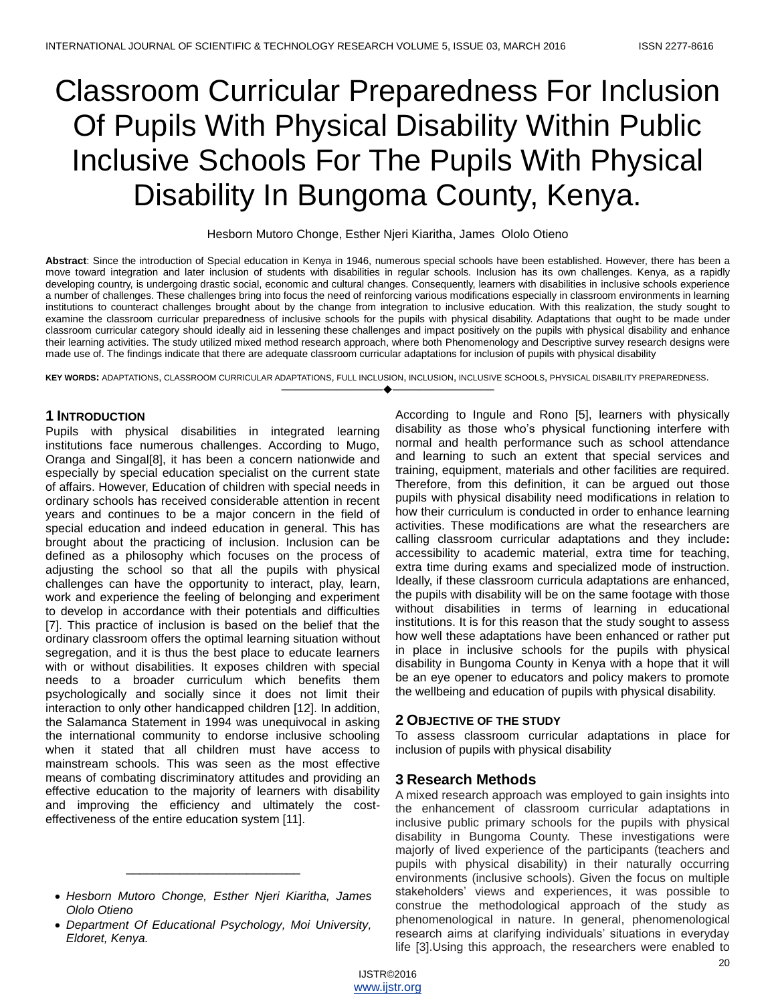# Classroom Curricular Preparedness For Inclusion Of Pupils With Physical Disability Within Public Inclusive Schools For The Pupils With Physical Disability In Bungoma County, Kenya.

Hesborn Mutoro Chonge, Esther Njeri Kiaritha, James Ololo Otieno

**Abstract**: Since the introduction of Special education in Kenya in 1946, numerous special schools have been established. However, there has been a move toward integration and later inclusion of students with disabilities in regular schools. Inclusion has its own challenges. Kenya, as a rapidly developing country, is undergoing drastic social, economic and cultural changes. Consequently, learners with disabilities in inclusive schools experience a number of challenges. These challenges bring into focus the need of reinforcing various modifications especially in classroom environments in learning institutions to counteract challenges brought about by the change from integration to inclusive education. With this realization, the study sought to examine the classroom curricular preparedness of inclusive schools for the pupils with physical disability. Adaptations that ought to be made under classroom curricular category should ideally aid in lessening these challenges and impact positively on the pupils with physical disability and enhance their learning activities. The study utilized mixed method research approach, where both Phenomenology and Descriptive survey research designs were made use of. The findings indicate that there are adequate classroom curricular adaptations for inclusion of pupils with physical disability

**KEY WORDS:** ADAPTATIONS, CLASSROOM CURRICULAR ADAPTATIONS, FULL INCLUSION, INCLUSION, INCLUSIVE SCHOOLS, PHYSICAL DISABILITY PREPAREDNESS. ————————————————————

# **1 INTRODUCTION**

Pupils with physical disabilities in integrated learning institutions face numerous challenges. According to Mugo, Oranga and Singal[8], it has been a concern nationwide and especially by special education specialist on the current state of affairs. However, Education of children with special needs in ordinary schools has received considerable attention in recent years and continues to be a major concern in the field of special education and indeed education in general. This has brought about the practicing of inclusion. Inclusion can be defined as a philosophy which focuses on the process of adjusting the school so that all the pupils with physical challenges can have the opportunity to interact, play, learn, work and experience the feeling of belonging and experiment to develop in accordance with their potentials and difficulties [7]. This practice of inclusion is based on the belief that the ordinary classroom offers the optimal learning situation without segregation, and it is thus the best place to educate learners with or without disabilities. It exposes children with special needs to a broader curriculum which benefits them psychologically and socially since it does not limit their interaction to only other handicapped children [12]. In addition, the Salamanca Statement in 1994 was unequivocal in asking the international community to endorse inclusive schooling when it stated that all children must have access to mainstream schools. This was seen as the most effective means of combating discriminatory attitudes and providing an effective education to the majority of learners with disability and improving the efficiency and ultimately the costeffectiveness of the entire education system [11].

\_\_\_\_\_\_\_\_\_\_\_\_\_\_\_\_\_\_\_\_\_\_\_\_\_\_

According to Ingule and Rono [5], learners with physically disability as those who's physical functioning interfere with normal and health performance such as school attendance and learning to such an extent that special services and training, equipment, materials and other facilities are required. Therefore, from this definition, it can be argued out those pupils with physical disability need modifications in relation to how their curriculum is conducted in order to enhance learning activities. These modifications are what the researchers are calling classroom curricular adaptations and they include**:**  accessibility to academic material, extra time for teaching, extra time during exams and specialized mode of instruction. Ideally, if these classroom curricula adaptations are enhanced, the pupils with disability will be on the same footage with those without disabilities in terms of learning in educational institutions. It is for this reason that the study sought to assess how well these adaptations have been enhanced or rather put in place in inclusive schools for the pupils with physical disability in Bungoma County in Kenya with a hope that it will be an eye opener to educators and policy makers to promote the wellbeing and education of pupils with physical disability.

# **2 OBJECTIVE OF THE STUDY**

To assess classroom curricular adaptations in place for inclusion of pupils with physical disability

# **3 Research Methods**

A mixed research approach was employed to gain insights into the enhancement of classroom curricular adaptations in inclusive public primary schools for the pupils with physical disability in Bungoma County. These investigations were majorly of lived experience of the participants (teachers and pupils with physical disability) in their naturally occurring environments (inclusive schools). Given the focus on multiple stakeholders' views and experiences, it was possible to construe the methodological approach of the study as phenomenological in nature. In general, phenomenological research aims at clarifying individuals' situations in everyday life [3].Using this approach, the researchers were enabled to

*Hesborn Mutoro Chonge, Esther Njeri Kiaritha, James Ololo Otieno*

*Department Of Educational Psychology, Moi University, Eldoret, Kenya.*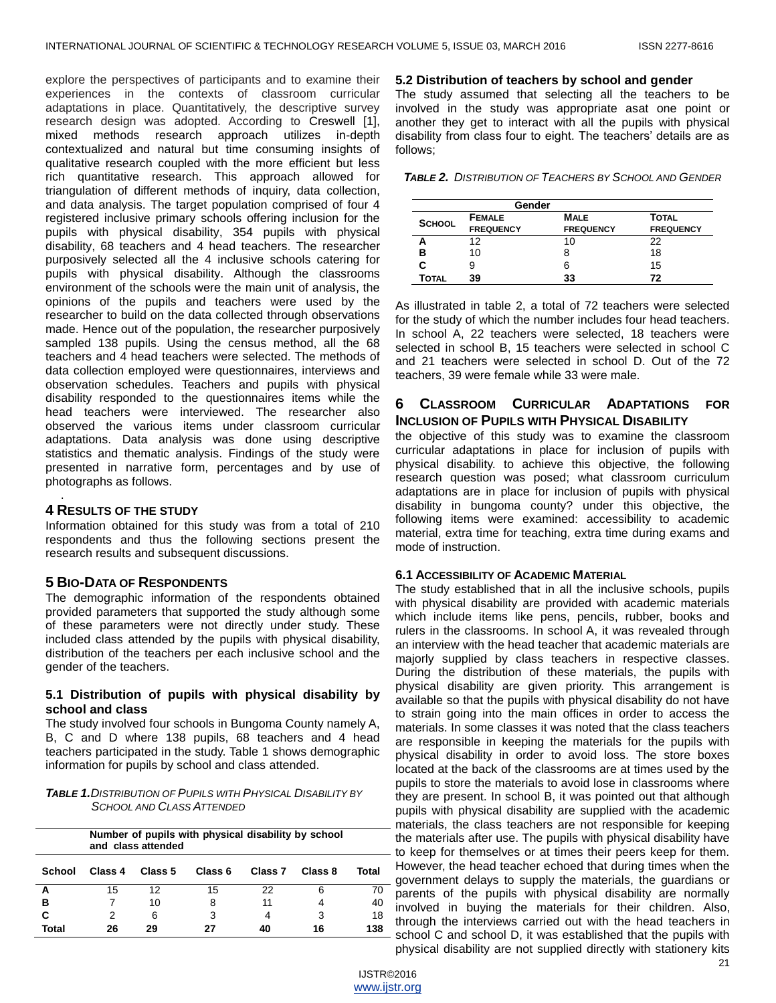explore the perspectives of participants and to examine their experiences in the contexts of classroom curricular adaptations in place. Quantitatively, the descriptive survey research design was adopted. According to Creswell [1], mixed methods research approach utilizes in-depth contextualized and natural but time consuming insights of qualitative research coupled with the more efficient but less rich quantitative research. This approach allowed for triangulation of different methods of inquiry, data collection, and data analysis. The target population comprised of four 4 registered inclusive primary schools offering inclusion for the pupils with physical disability, 354 pupils with physical disability, 68 teachers and 4 head teachers. The researcher purposively selected all the 4 inclusive schools catering for pupils with physical disability. Although the classrooms environment of the schools were the main unit of analysis, the opinions of the pupils and teachers were used by the researcher to build on the data collected through observations made. Hence out of the population, the researcher purposively sampled 138 pupils. Using the census method, all the 68 teachers and 4 head teachers were selected. The methods of data collection employed were questionnaires, interviews and observation schedules. Teachers and pupils with physical disability responded to the questionnaires items while the head teachers were interviewed. The researcher also observed the various items under classroom curricular adaptations. Data analysis was done using descriptive statistics and thematic analysis. Findings of the study were presented in narrative form, percentages and by use of photographs as follows.

## **4 RESULTS OF THE STUDY**

.

Information obtained for this study was from a total of 210 respondents and thus the following sections present the research results and subsequent discussions.

## **5 BIO-DATA OF RESPONDENTS**

The demographic information of the respondents obtained provided parameters that supported the study although some of these parameters were not directly under study. These included class attended by the pupils with physical disability, distribution of the teachers per each inclusive school and the gender of the teachers.

## **5.1 Distribution of pupils with physical disability by school and class**

The study involved four schools in Bungoma County namely A, B, C and D where 138 pupils, 68 teachers and 4 head teachers participated in the study. Table 1 shows demographic information for pupils by school and class attended.

## *TABLE 1.DISTRIBUTION OF PUPILS WITH PHYSICAL DISABILITY BY SCHOOL AND CLASS ATTENDED*

|              |         | Number of pupils with physical disability by school<br>and class attended |         |                    |         |       |
|--------------|---------|---------------------------------------------------------------------------|---------|--------------------|---------|-------|
| School       | Class 4 | Class 5                                                                   | Class 6 | Class <sub>7</sub> | Class 8 | Total |
| А            | 15      | 12                                                                        | 15      | 22                 | 6       | 70    |
| в            |         | 10                                                                        | 8       | 11                 | 4       | 40    |
| C            | 2       | 6                                                                         | 3       | 4                  | 3       | 18    |
| <b>Total</b> | 26      | 29                                                                        | 27      | 40                 | 16      | 138   |

#### **5.2 Distribution of teachers by school and gender**

The study assumed that selecting all the teachers to be involved in the study was appropriate asat one point or another they get to interact with all the pupils with physical disability from class four to eight. The teachers' details are as follows;

*TABLE 2. DISTRIBUTION OF TEACHERS BY SCHOOL AND GENDER*

| Gender        |                  |                  |                  |  |  |  |
|---------------|------------------|------------------|------------------|--|--|--|
| <b>SCHOOL</b> | <b>FEMALE</b>    | <b>MALE</b>      | TOTAL            |  |  |  |
|               | <b>FREQUENCY</b> | <b>FREQUENCY</b> | <b>FREQUENCY</b> |  |  |  |
|               | 12               | 10               | 22               |  |  |  |
| в             | 10               | 8                | 18               |  |  |  |
|               |                  | 6                | 15               |  |  |  |
| Total         | 39               | 33               | 72               |  |  |  |

As illustrated in table 2, a total of 72 teachers were selected for the study of which the number includes four head teachers. In school A, 22 teachers were selected, 18 teachers were selected in school B, 15 teachers were selected in school C and 21 teachers were selected in school D. Out of the 72 teachers, 39 were female while 33 were male.

# **6 CLASSROOM CURRICULAR ADAPTATIONS FOR INCLUSION OF PUPILS WITH PHYSICAL DISABILITY**

the objective of this study was to examine the classroom curricular adaptations in place for inclusion of pupils with physical disability. to achieve this objective, the following research question was posed; what classroom curriculum adaptations are in place for inclusion of pupils with physical disability in bungoma county? under this objective, the following items were examined: accessibility to academic material, extra time for teaching, extra time during exams and mode of instruction.

#### **6.1 ACCESSIBILITY OF ACADEMIC MATERIAL**

The study established that in all the inclusive schools, pupils with physical disability are provided with academic materials which include items like pens, pencils, rubber, books and rulers in the classrooms. In school A, it was revealed through an interview with the head teacher that academic materials are majorly supplied by class teachers in respective classes. During the distribution of these materials, the pupils with physical disability are given priority. This arrangement is available so that the pupils with physical disability do not have to strain going into the main offices in order to access the materials. In some classes it was noted that the class teachers are responsible in keeping the materials for the pupils with physical disability in order to avoid loss. The store boxes located at the back of the classrooms are at times used by the pupils to store the materials to avoid lose in classrooms where they are present. In school B, it was pointed out that although pupils with physical disability are supplied with the academic materials, the class teachers are not responsible for keeping the materials after use. The pupils with physical disability have - to keep for themselves or at times their peers keep for them. However, the head teacher echoed that during times when the government delays to supply the materials, the guardians or parents of the pupils with physical disability are normally involved in buying the materials for their children. Also, through the interviews carried out with the head teachers in school C and school D, it was established that the pupils with physical disability are not supplied directly with stationery kits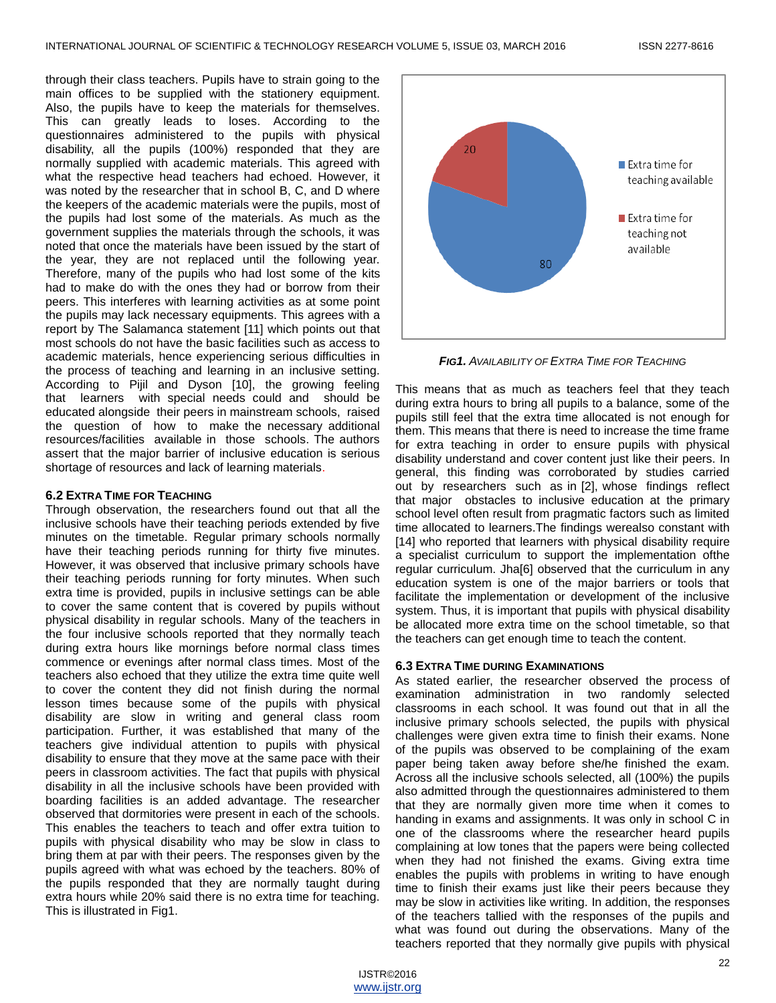through their class teachers. Pupils have to strain going to the main offices to be supplied with the stationery equipment. Also, the pupils have to keep the materials for themselves. This can greatly leads to loses. According to the questionnaires administered to the pupils with physical disability, all the pupils (100%) responded that they are normally supplied with academic materials. This agreed with what the respective head teachers had echoed. However, it was noted by the researcher that in school B, C, and D where the keepers of the academic materials were the pupils, most of the pupils had lost some of the materials. As much as the government supplies the materials through the schools, it was noted that once the materials have been issued by the start of the year, they are not replaced until the following year. Therefore, many of the pupils who had lost some of the kits had to make do with the ones they had or borrow from their peers. This interferes with learning activities as at some point the pupils may lack necessary equipments. This agrees with a report by The Salamanca statement [11] which points out that most schools do not have the basic facilities such as access to academic materials, hence experiencing serious difficulties in the process of teaching and learning in an inclusive setting. According to Pijil and Dyson [10], the growing feeling that learners with special needs could and should be educated alongside their peers in mainstream schools, raised the question of how to make the necessary additional resources/facilities available in those schools. The authors assert that the major barrier of inclusive education is serious shortage of resources and lack of learning materials.

## **6.2 EXTRA TIME FOR TEACHING**

Through observation, the researchers found out that all the inclusive schools have their teaching periods extended by five minutes on the timetable. Regular primary schools normally have their teaching periods running for thirty five minutes. However, it was observed that inclusive primary schools have their teaching periods running for forty minutes. When such extra time is provided, pupils in inclusive settings can be able to cover the same content that is covered by pupils without physical disability in regular schools. Many of the teachers in the four inclusive schools reported that they normally teach during extra hours like mornings before normal class times commence or evenings after normal class times. Most of the teachers also echoed that they utilize the extra time quite well to cover the content they did not finish during the normal lesson times because some of the pupils with physical disability are slow in writing and general class room participation. Further, it was established that many of the teachers give individual attention to pupils with physical disability to ensure that they move at the same pace with their peers in classroom activities. The fact that pupils with physical disability in all the inclusive schools have been provided with boarding facilities is an added advantage. The researcher observed that dormitories were present in each of the schools. This enables the teachers to teach and offer extra tuition to pupils with physical disability who may be slow in class to bring them at par with their peers. The responses given by the pupils agreed with what was echoed by the teachers. 80% of the pupils responded that they are normally taught during extra hours while 20% said there is no extra time for teaching. This is illustrated in Fig1.



*FIG1. AVAILABILITY OF EXTRA TIME FOR TEACHING*

This means that as much as teachers feel that they teach during extra hours to bring all pupils to a balance, some of the pupils still feel that the extra time allocated is not enough for them. This means that there is need to increase the time frame for extra teaching in order to ensure pupils with physical disability understand and cover content just like their peers. In general, this finding was corroborated by studies carried out by researchers such as in [2], whose findings reflect that major obstacles to inclusive education at the primary school level often result from pragmatic factors such as limited time allocated to learners.The findings werealso constant with [14] who reported that learners with physical disability require a specialist curriculum to support the implementation ofthe regular curriculum. Jha[6] observed that the curriculum in any education system is one of the major barriers or tools that facilitate the implementation or development of the inclusive system. Thus, it is important that pupils with physical disability be allocated more extra time on the school timetable, so that the teachers can get enough time to teach the content.

## **6.3 EXTRA TIME DURING EXAMINATIONS**

As stated earlier, the researcher observed the process of examination administration in two randomly selected classrooms in each school. It was found out that in all the inclusive primary schools selected, the pupils with physical challenges were given extra time to finish their exams. None of the pupils was observed to be complaining of the exam paper being taken away before she/he finished the exam. Across all the inclusive schools selected, all (100%) the pupils also admitted through the questionnaires administered to them that they are normally given more time when it comes to handing in exams and assignments. It was only in school C in one of the classrooms where the researcher heard pupils complaining at low tones that the papers were being collected when they had not finished the exams. Giving extra time enables the pupils with problems in writing to have enough time to finish their exams just like their peers because they may be slow in activities like writing. In addition, the responses of the teachers tallied with the responses of the pupils and what was found out during the observations. Many of the teachers reported that they normally give pupils with physical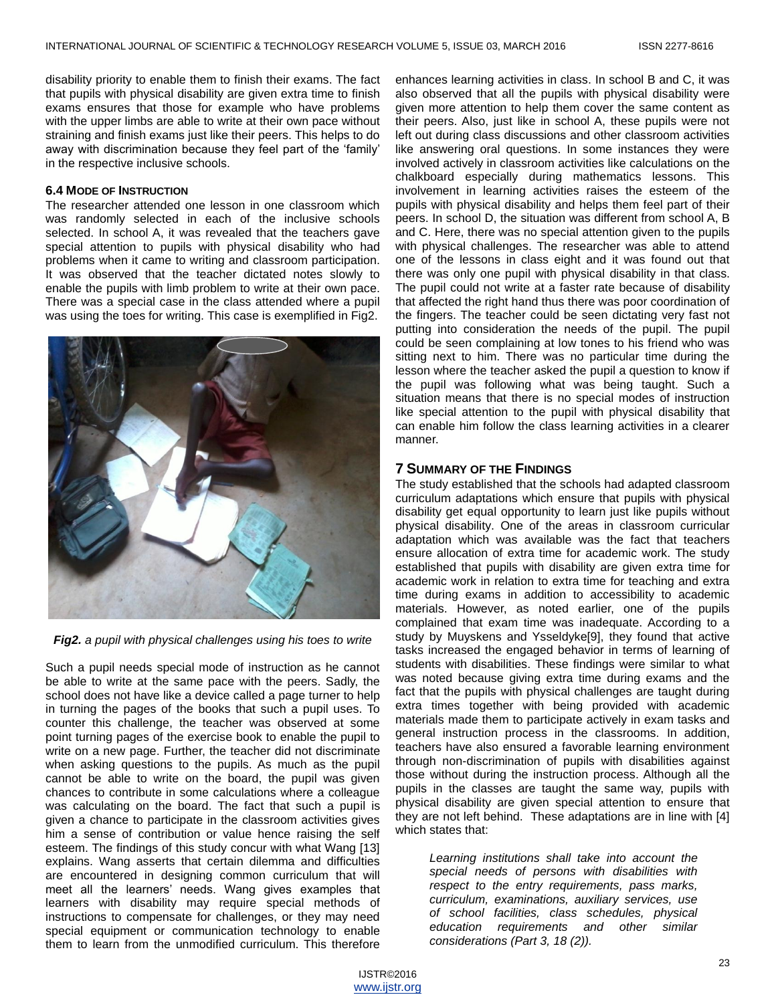disability priority to enable them to finish their exams. The fact that pupils with physical disability are given extra time to finish exams ensures that those for example who have problems with the upper limbs are able to write at their own pace without straining and finish exams just like their peers. This helps to do away with discrimination because they feel part of the 'family' in the respective inclusive schools.

### **6.4 MODE OF INSTRUCTION**

The researcher attended one lesson in one classroom which was randomly selected in each of the inclusive schools selected. In school A, it was revealed that the teachers gave special attention to pupils with physical disability who had problems when it came to writing and classroom participation. It was observed that the teacher dictated notes slowly to enable the pupils with limb problem to write at their own pace. There was a special case in the class attended where a pupil was using the toes for writing. This case is exemplified in Fig2.



*Fig2. a pupil with physical challenges using his toes to write*

Such a pupil needs special mode of instruction as he cannot be able to write at the same pace with the peers. Sadly, the school does not have like a device called a page turner to help in turning the pages of the books that such a pupil uses. To counter this challenge, the teacher was observed at some point turning pages of the exercise book to enable the pupil to write on a new page. Further, the teacher did not discriminate when asking questions to the pupils. As much as the pupil cannot be able to write on the board, the pupil was given chances to contribute in some calculations where a colleague was calculating on the board. The fact that such a pupil is given a chance to participate in the classroom activities gives him a sense of contribution or value hence raising the self esteem. The findings of this study concur with what Wang [13] explains. Wang asserts that certain dilemma and difficulties are encountered in designing common curriculum that will meet all the learners' needs. Wang gives examples that learners with disability may require special methods of instructions to compensate for challenges, or they may need special equipment or communication technology to enable them to learn from the unmodified curriculum. This therefore

enhances learning activities in class. In school B and C, it was also observed that all the pupils with physical disability were given more attention to help them cover the same content as their peers. Also, just like in school A, these pupils were not left out during class discussions and other classroom activities like answering oral questions. In some instances they were involved actively in classroom activities like calculations on the chalkboard especially during mathematics lessons. This involvement in learning activities raises the esteem of the pupils with physical disability and helps them feel part of their peers. In school D, the situation was different from school A, B and C. Here, there was no special attention given to the pupils with physical challenges. The researcher was able to attend one of the lessons in class eight and it was found out that there was only one pupil with physical disability in that class. The pupil could not write at a faster rate because of disability that affected the right hand thus there was poor coordination of the fingers. The teacher could be seen dictating very fast not putting into consideration the needs of the pupil. The pupil could be seen complaining at low tones to his friend who was sitting next to him. There was no particular time during the lesson where the teacher asked the pupil a question to know if the pupil was following what was being taught. Such a situation means that there is no special modes of instruction like special attention to the pupil with physical disability that can enable him follow the class learning activities in a clearer manner.

## **7 SUMMARY OF THE FINDINGS**

The study established that the schools had adapted classroom curriculum adaptations which ensure that pupils with physical disability get equal opportunity to learn just like pupils without physical disability. One of the areas in classroom curricular adaptation which was available was the fact that teachers ensure allocation of extra time for academic work. The study established that pupils with disability are given extra time for academic work in relation to extra time for teaching and extra time during exams in addition to accessibility to academic materials. However, as noted earlier, one of the pupils complained that exam time was inadequate. According to a study by Muyskens and Ysseldyke[9], they found that active tasks increased the engaged behavior in terms of learning of students with disabilities. These findings were similar to what was noted because giving extra time during exams and the fact that the pupils with physical challenges are taught during extra times together with being provided with academic materials made them to participate actively in exam tasks and general instruction process in the classrooms. In addition, teachers have also ensured a favorable learning environment through non-discrimination of pupils with disabilities against those without during the instruction process. Although all the pupils in the classes are taught the same way, pupils with physical disability are given special attention to ensure that they are not left behind. These adaptations are in line with [4] which states that:

*Learning institutions shall take into account the special needs of persons with disabilities with respect to the entry requirements, pass marks, curriculum, examinations, auxiliary services, use of school facilities, class schedules, physical education requirements and other similar considerations (Part 3, 18 (2)).*